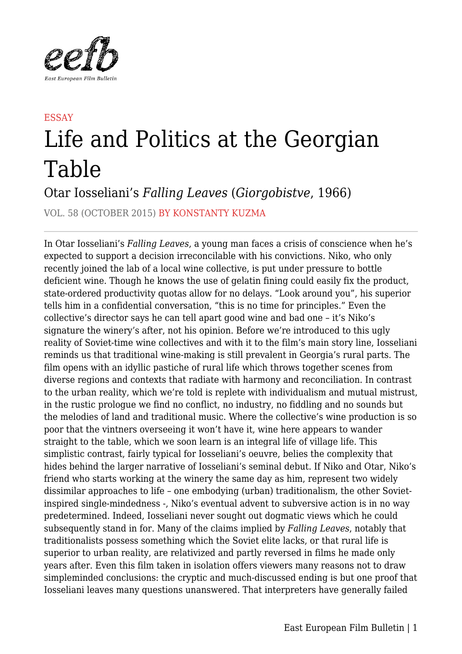

## **ESSAY** Life and Politics at the Georgian Table

Otar Iosseliani's *Falling Leaves* (*Giorgobistve*, 1966)

VOL. 58 (OCTOBER 2015) BY KONSTANTY KUZMA

In Otar Iosseliani's *Falling Leaves*, a young man faces a crisis of conscience when he's expected to support a decision irreconcilable with his convictions. Niko, who only recently joined the lab of a local wine collective, is put under pressure to bottle deficient wine. Though he knows the use of gelatin fining could easily fix the product, state-ordered productivity quotas allow for no delays. "Look around you", his superior tells him in a confidential conversation, "this is no time for principles." Even the collective's director says he can tell apart good wine and bad one – it's Niko's signature the winery's after, not his opinion. Before we're introduced to this ugly reality of Soviet-time wine collectives and with it to the film's main story line, Iosseliani reminds us that traditional wine-making is still prevalent in Georgia's rural parts. The film opens with an idyllic pastiche of rural life which throws together scenes from diverse regions and contexts that radiate with harmony and reconciliation. In contrast to the urban reality, which we're told is replete with individualism and mutual mistrust, in the rustic prologue we find no conflict, no industry, no fiddling and no sounds but the melodies of land and traditional music. Where the collective's wine production is so poor that the vintners overseeing it won't have it, wine here appears to wander straight to the table, which we soon learn is an integral life of village life. This simplistic contrast, fairly typical for Iosseliani's oeuvre, belies the complexity that hides behind the larger narrative of Iosseliani's seminal debut. If Niko and Otar, Niko's friend who starts working at the winery the same day as him, represent two widely dissimilar approaches to life – one embodying (urban) traditionalism, the other Sovietinspired single-mindedness -, Niko's eventual advent to subversive action is in no way predetermined. Indeed, Iosseliani never sought out dogmatic views which he could subsequently stand in for. Many of the claims implied by *Falling Leaves*, notably that traditionalists possess something which the Soviet elite lacks, or that rural life is superior to urban reality, are relativized and partly reversed in films he made only years after. Even this film taken in isolation offers viewers many reasons not to draw simpleminded conclusions: the cryptic and much-discussed ending is but one proof that Iosseliani leaves many questions unanswered. That interpreters have generally failed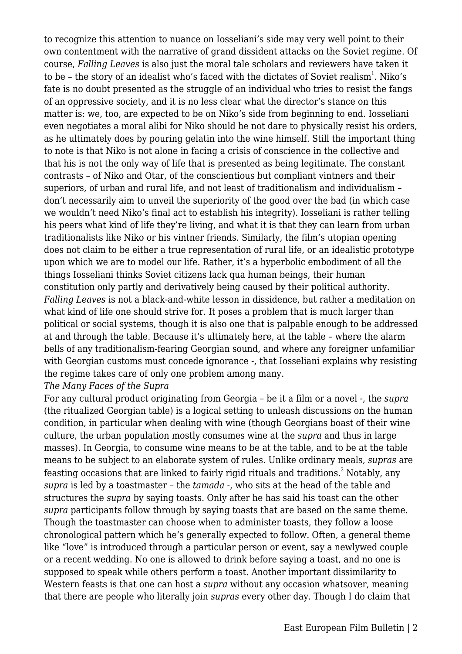to recognize this attention to nuance on Iosseliani's side may very well point to their own contentment with the narrative of grand dissident attacks on the Soviet regime. Of course, *Falling Leaves* is also just the moral tale scholars and reviewers have taken it to be - the story of an idealist who's faced with the dictates of Soviet realism $^{\rm l}$ . Niko's fate is no doubt presented as the struggle of an individual who tries to resist the fangs of an oppressive society, and it is no less clear what the director's stance on this matter is: we, too, are expected to be on Niko's side from beginning to end. Iosseliani even negotiates a moral alibi for Niko should he not dare to physically resist his orders, as he ultimately does by pouring gelatin into the wine himself. Still the important thing to note is that Niko is not alone in facing a crisis of conscience in the collective and that his is not the only way of life that is presented as being legitimate. The constant contrasts – of Niko and Otar, of the conscientious but compliant vintners and their superiors, of urban and rural life, and not least of traditionalism and individualism – don't necessarily aim to unveil the superiority of the good over the bad (in which case we wouldn't need Niko's final act to establish his integrity). Iosseliani is rather telling his peers what kind of life they're living, and what it is that they can learn from urban traditionalists like Niko or his vintner friends. Similarly, the film's utopian opening does not claim to be either a true representation of rural life, or an idealistic prototype upon which we are to model our life. Rather, it's a hyperbolic embodiment of all the things Iosseliani thinks Soviet citizens lack qua human beings, their human constitution only partly and derivatively being caused by their political authority. *Falling Leaves* is not a black-and-white lesson in dissidence, but rather a meditation on what kind of life one should strive for. It poses a problem that is much larger than political or social systems, though it is also one that is palpable enough to be addressed at and through the table. Because it's ultimately here, at the table – where the alarm bells of any traditionalism-fearing Georgian sound, and where any foreigner unfamiliar with Georgian customs must concede ignorance -, that Iosseliani explains why resisting the regime takes care of only one problem among many.

## *The Many Faces of the Supra*

For any cultural product originating from Georgia – be it a film or a novel -, the *supra* (the ritualized Georgian table) is a logical setting to unleash discussions on the human condition, in particular when dealing with wine (though Georgians boast of their wine culture, the urban population mostly consumes wine at the *supra* and thus in large masses). In Georgia, to consume wine means to be at the table, and to be at the table means to be subject to an elaborate system of rules. Unlike ordinary meals, *supras* are feasting occasions that are linked to fairly rigid rituals and traditions. $^{\text{2}}$  Notably, any *supra* is led by a toastmaster – the *tamada* -, who sits at the head of the table and structures the *supra* by saying toasts. Only after he has said his toast can the other *supra* participants follow through by saying toasts that are based on the same theme. Though the toastmaster can choose when to administer toasts, they follow a loose chronological pattern which he's generally expected to follow. Often, a general theme like "love" is introduced through a particular person or event, say a newlywed couple or a recent wedding. No one is allowed to drink before saying a toast, and no one is supposed to speak while others perform a toast. Another important dissimilarity to Western feasts is that one can host a *supra* without any occasion whatsover, meaning that there are people who literally join *supras* every other day. Though I do claim that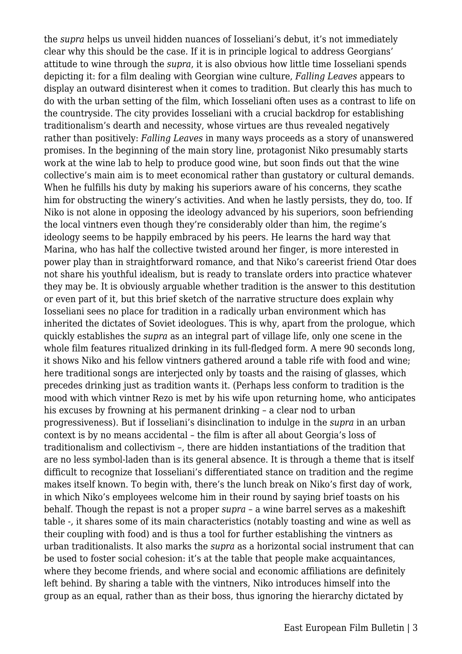the *supra* helps us unveil hidden nuances of Iosseliani's debut, it's not immediately clear why this should be the case. If it is in principle logical to address Georgians' attitude to wine through the *supra*, it is also obvious how little time Iosseliani spends depicting it: for a film dealing with Georgian wine culture, *Falling Leaves* appears to display an outward disinterest when it comes to tradition. But clearly this has much to do with the urban setting of the film, which Iosseliani often uses as a contrast to life on the countryside. The city provides Iosseliani with a crucial backdrop for establishing traditionalism's dearth and necessity, whose virtues are thus revealed negatively rather than positively: *Falling Leaves* in many ways proceeds as a story of unanswered promises. In the beginning of the main story line, protagonist Niko presumably starts work at the wine lab to help to produce good wine, but soon finds out that the wine collective's main aim is to meet economical rather than gustatory or cultural demands. When he fulfills his duty by making his superiors aware of his concerns, they scathe him for obstructing the winery's activities. And when he lastly persists, they do, too. If Niko is not alone in opposing the ideology advanced by his superiors, soon befriending the local vintners even though they're considerably older than him, the regime's ideology seems to be happily embraced by his peers. He learns the hard way that Marina, who has half the collective twisted around her finger, is more interested in power play than in straightforward romance, and that Niko's careerist friend Otar does not share his youthful idealism, but is ready to translate orders into practice whatever they may be. It is obviously arguable whether tradition is the answer to this destitution or even part of it, but this brief sketch of the narrative structure does explain why Iosseliani sees no place for tradition in a radically urban environment which has inherited the dictates of Soviet ideologues. This is why, apart from the prologue, which quickly establishes the *supra* as an integral part of village life, only one scene in the whole film features ritualized drinking in its full-fledged form. A mere 90 seconds long, it shows Niko and his fellow vintners gathered around a table rife with food and wine; here traditional songs are interjected only by toasts and the raising of glasses, which precedes drinking just as tradition wants it. (Perhaps less conform to tradition is the mood with which vintner Rezo is met by his wife upon returning home, who anticipates his excuses by frowning at his permanent drinking – a clear nod to urban progressiveness). But if Iosseliani's disinclination to indulge in the *supra* in an urban context is by no means accidental – the film is after all about Georgia's loss of traditionalism and collectivism –, there are hidden instantiations of the tradition that are no less symbol-laden than is its general absence. It is through a theme that is itself difficult to recognize that Iosseliani's differentiated stance on tradition and the regime makes itself known. To begin with, there's the lunch break on Niko's first day of work, in which Niko's employees welcome him in their round by saying brief toasts on his behalf. Though the repast is not a proper *supra* – a wine barrel serves as a makeshift table -, it shares some of its main characteristics (notably toasting and wine as well as their coupling with food) and is thus a tool for further establishing the vintners as urban traditionalists. It also marks the *supra* as a horizontal social instrument that can be used to foster social cohesion: it's at the table that people make acquaintances, where they become friends, and where social and economic affiliations are definitely left behind. By sharing a table with the vintners, Niko introduces himself into the group as an equal, rather than as their boss, thus ignoring the hierarchy dictated by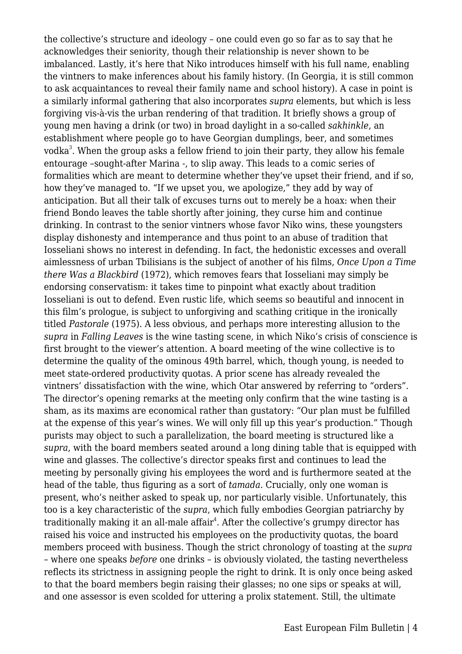the collective's structure and ideology – one could even go so far as to say that he acknowledges their seniority, though their relationship is never shown to be imbalanced. Lastly, it's here that Niko introduces himself with his full name, enabling the vintners to make inferences about his family history. (In Georgia, it is still common to ask acquaintances to reveal their family name and school history). A case in point is a similarly informal gathering that also incorporates *supra* elements, but which is less forgiving vis-à-vis the urban rendering of that tradition. It briefly shows a group of young men having a drink (or two) in broad daylight in a so-called *sakhinkle*, an establishment where people go to have Georgian dumplings, beer, and sometimes vodka $^3.$  When the group asks a fellow friend to join their party, they allow his female entourage –sought-after Marina -, to slip away. This leads to a comic series of formalities which are meant to determine whether they've upset their friend, and if so, how they've managed to. "If we upset you, we apologize," they add by way of anticipation. But all their talk of excuses turns out to merely be a hoax: when their friend Bondo leaves the table shortly after joining, they curse him and continue drinking. In contrast to the senior vintners whose favor Niko wins, these youngsters display dishonesty and intemperance and thus point to an abuse of tradition that Iosseliani shows no interest in defending. In fact, the hedonistic excesses and overall aimlessness of urban Tbilisians is the subject of another of his films, *Once Upon a Time there Was a Blackbird* (1972), which removes fears that Iosseliani may simply be endorsing conservatism: it takes time to pinpoint what exactly about tradition Iosseliani is out to defend. Even rustic life, which seems so beautiful and innocent in this film's prologue, is subject to unforgiving and scathing critique in the ironically titled *Pastorale* (1975). A less obvious, and perhaps more interesting allusion to the *supra* in *Falling Leaves* is the wine tasting scene, in which Niko's crisis of conscience is first brought to the viewer's attention. A board meeting of the wine collective is to determine the quality of the ominous 49th barrel, which, though young, is needed to meet state-ordered productivity quotas. A prior scene has already revealed the vintners' dissatisfaction with the wine, which Otar answered by referring to "orders". The director's opening remarks at the meeting only confirm that the wine tasting is a sham, as its maxims are economical rather than gustatory: "Our plan must be fulfilled at the expense of this year's wines. We will only fill up this year's production." Though purists may object to such a parallelization, the board meeting is structured like a *supra*, with the board members seated around a long dining table that is equipped with wine and glasses. The collective's director speaks first and continues to lead the meeting by personally giving his employees the word and is furthermore seated at the head of the table, thus figuring as a sort of *tamada*. Crucially, only one woman is present, who's neither asked to speak up, nor particularly visible. Unfortunately, this too is a key characteristic of the *supra*, which fully embodies Georgian patriarchy by traditionally making it an all-male affair $\hbox{}^4.$  After the collective's grumpy director has raised his voice and instructed his employees on the productivity quotas, the board members proceed with business. Though the strict chronology of toasting at the *supra* – where one speaks *before* one drinks – is obviously violated, the tasting nevertheless reflects its strictness in assigning people the right to drink. It is only once being asked to that the board members begin raising their glasses; no one sips or speaks at will, and one assessor is even scolded for uttering a prolix statement. Still, the ultimate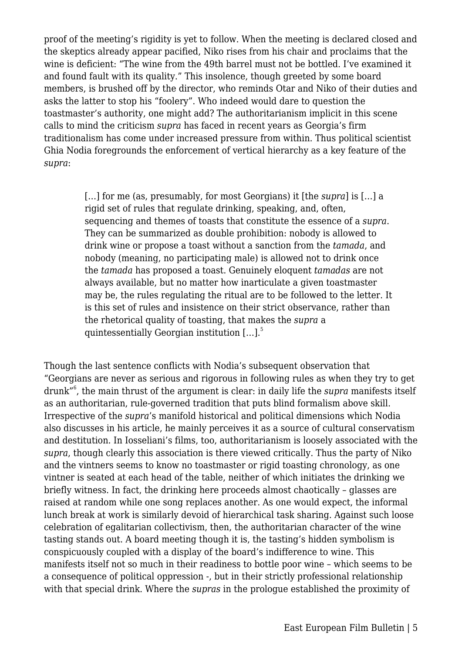proof of the meeting's rigidity is yet to follow. When the meeting is declared closed and the skeptics already appear pacified, Niko rises from his chair and proclaims that the wine is deficient: "The wine from the 49th barrel must not be bottled. I've examined it and found fault with its quality." This insolence, though greeted by some board members, is brushed off by the director, who reminds Otar and Niko of their duties and asks the latter to stop his "foolery". Who indeed would dare to question the toastmaster's authority, one might add? The authoritarianism implicit in this scene calls to mind the criticism *supra* has faced in recent years as Georgia's firm traditionalism has come under increased pressure from within. Thus political scientist Ghia Nodia foregrounds the enforcement of vertical hierarchy as a key feature of the *supra*:

> […] for me (as, presumably, for most Georgians) it [the *supra*] is […] a rigid set of rules that regulate drinking, speaking, and, often, sequencing and themes of toasts that constitute the essence of a *supra*. They can be summarized as double prohibition: nobody is allowed to drink wine or propose a toast without a sanction from the *tamada*, and nobody (meaning, no participating male) is allowed not to drink once the *tamada* has proposed a toast. Genuinely eloquent *tamadas* are not always available, but no matter how inarticulate a given toastmaster may be, the rules regulating the ritual are to be followed to the letter. It is this set of rules and insistence on their strict observance, rather than the rhetorical quality of toasting, that makes the *supra* a quintessentially Georgian institution  $[...]$ <sup>5</sup>

Though the last sentence conflicts with Nodia's subsequent observation that "Georgians are never as serious and rigorous in following rules as when they try to get drunk"<sup>6</sup> , the main thrust of the argument is clear: in daily life the *supra* manifests itself as an authoritarian, rule-governed tradition that puts blind formalism above skill. Irrespective of the *supra*'s manifold historical and political dimensions which Nodia also discusses in his article, he mainly perceives it as a source of cultural conservatism and destitution. In Iosseliani's films, too, authoritarianism is loosely associated with the *supra*, though clearly this association is there viewed critically. Thus the party of Niko and the vintners seems to know no toastmaster or rigid toasting chronology, as one vintner is seated at each head of the table, neither of which initiates the drinking we briefly witness. In fact, the drinking here proceeds almost chaotically – glasses are raised at random while one song replaces another. As one would expect, the informal lunch break at work is similarly devoid of hierarchical task sharing. Against such loose celebration of egalitarian collectivism, then, the authoritarian character of the wine tasting stands out. A board meeting though it is, the tasting's hidden symbolism is conspicuously coupled with a display of the board's indifference to wine. This manifests itself not so much in their readiness to bottle poor wine – which seems to be a consequence of political oppression -, but in their strictly professional relationship with that special drink. Where the *supras* in the prologue established the proximity of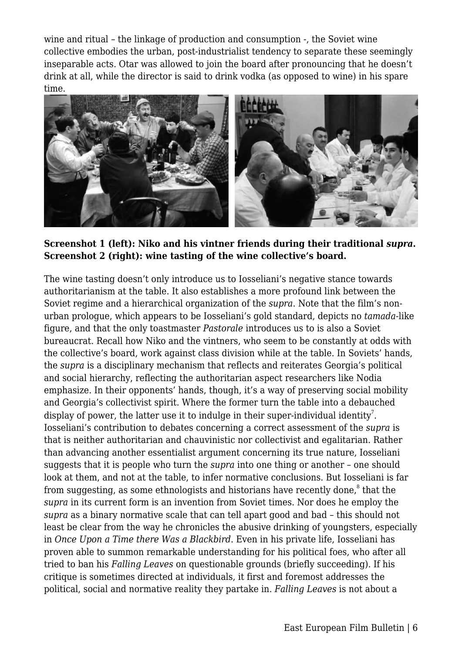wine and ritual – the linkage of production and consumption -, the Soviet wine collective embodies the urban, post-industrialist tendency to separate these seemingly inseparable acts. Otar was allowed to join the board after pronouncing that he doesn't drink at all, while the director is said to drink vodka (as opposed to wine) in his spare time.



**Screenshot 1 (left): Niko and his vintner friends during their traditional** *supra***. Screenshot 2 (right): wine tasting of the wine collective's board.**

The wine tasting doesn't only introduce us to Iosseliani's negative stance towards authoritarianism at the table. It also establishes a more profound link between the Soviet regime and a hierarchical organization of the *supra*. Note that the film's nonurban prologue, which appears to be Iosseliani's gold standard, depicts no *tamada*-like figure, and that the only toastmaster *Pastorale* introduces us to is also a Soviet bureaucrat. Recall how Niko and the vintners, who seem to be constantly at odds with the collective's board, work against class division while at the table. In Soviets' hands, the *supra* is a disciplinary mechanism that reflects and reiterates Georgia's political and social hierarchy, reflecting the authoritarian aspect researchers like Nodia emphasize. In their opponents' hands, though, it's a way of preserving social mobility and Georgia's collectivist spirit. Where the former turn the table into a debauched display of power, the latter use it to indulge in their super-individual identity<sup>7</sup>. Iosseliani's contribution to debates concerning a correct assessment of the *supra* is that is neither authoritarian and chauvinistic nor collectivist and egalitarian. Rather than advancing another essentialist argument concerning its true nature, Iosseliani suggests that it is people who turn the *supra* into one thing or another – one should look at them, and not at the table, to infer normative conclusions. But Iosseliani is far from suggesting, as some ethnologists and historians have recently done, $^{\text{8}}$  that the *supra* in its current form is an invention from Soviet times. Nor does he employ the *supra* as a binary normative scale that can tell apart good and bad – this should not least be clear from the way he chronicles the abusive drinking of youngsters, especially in *Once Upon a Time there Was a Blackbird*. Even in his private life, Iosseliani has proven able to summon remarkable understanding for his political foes, who after all tried to ban his *Falling Leaves* on questionable grounds (briefly succeeding). If his critique is sometimes directed at individuals, it first and foremost addresses the political, social and normative reality they partake in. *Falling Leaves* is not about a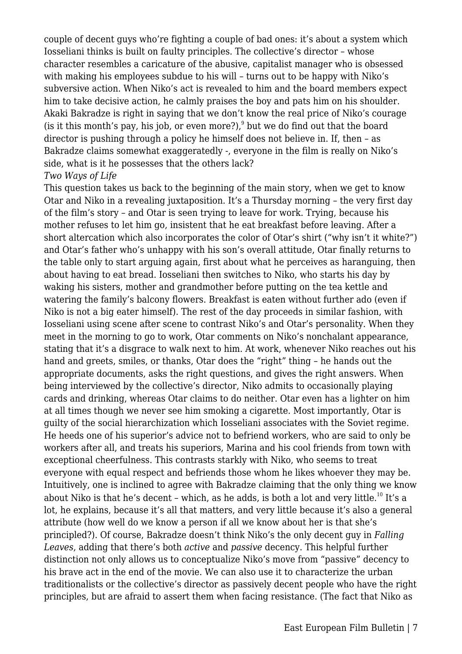couple of decent guys who're fighting a couple of bad ones: it's about a system which Iosseliani thinks is built on faulty principles. The collective's director – whose character resembles a caricature of the abusive, capitalist manager who is obsessed with making his employees subdue to his will – turns out to be happy with Niko's subversive action. When Niko's act is revealed to him and the board members expect him to take decisive action, he calmly praises the boy and pats him on his shoulder. Akaki Bakradze is right in saying that we don't know the real price of Niko's courage (is it this month's pay, his job, or even more?), $9$  but we do find out that the board director is pushing through a policy he himself does not believe in. If, then – as Bakradze claims somewhat exaggeratedly -, everyone in the film is really on Niko's side, what is it he possesses that the others lack? *Two Ways of Life*

This question takes us back to the beginning of the main story, when we get to know Otar and Niko in a revealing juxtaposition. It's a Thursday morning – the very first day of the film's story – and Otar is seen trying to leave for work. Trying, because his mother refuses to let him go, insistent that he eat breakfast before leaving. After a short altercation which also incorporates the color of Otar's shirt ("why isn't it white?") and Otar's father who's unhappy with his son's overall attitude, Otar finally returns to the table only to start arguing again, first about what he perceives as haranguing, then about having to eat bread. Iosseliani then switches to Niko, who starts his day by waking his sisters, mother and grandmother before putting on the tea kettle and watering the family's balcony flowers. Breakfast is eaten without further ado (even if Niko is not a big eater himself). The rest of the day proceeds in similar fashion, with Iosseliani using scene after scene to contrast Niko's and Otar's personality. When they meet in the morning to go to work, Otar comments on Niko's nonchalant appearance, stating that it's a disgrace to walk next to him. At work, whenever Niko reaches out his hand and greets, smiles, or thanks, Otar does the "right" thing – he hands out the appropriate documents, asks the right questions, and gives the right answers. When being interviewed by the collective's director, Niko admits to occasionally playing cards and drinking, whereas Otar claims to do neither. Otar even has a lighter on him at all times though we never see him smoking a cigarette. Most importantly, Otar is guilty of the social hierarchization which Iosseliani associates with the Soviet regime. He heeds one of his superior's advice not to befriend workers, who are said to only be workers after all, and treats his superiors, Marina and his cool friends from town with exceptional cheerfulness. This contrasts starkly with Niko, who seems to treat everyone with equal respect and befriends those whom he likes whoever they may be. Intuitively, one is inclined to agree with Bakradze claiming that the only thing we know about Niko is that he's decent – which, as he adds, is both a lot and very little.<sup>10</sup> It's a lot, he explains, because it's all that matters, and very little because it's also a general attribute (how well do we know a person if all we know about her is that she's principled?). Of course, Bakradze doesn't think Niko's the only decent guy in *Falling Leaves*, adding that there's both *active* and *passive* decency. This helpful further distinction not only allows us to conceptualize Niko's move from "passive" decency to his brave act in the end of the movie. We can also use it to characterize the urban traditionalists or the collective's director as passively decent people who have the right principles, but are afraid to assert them when facing resistance. (The fact that Niko as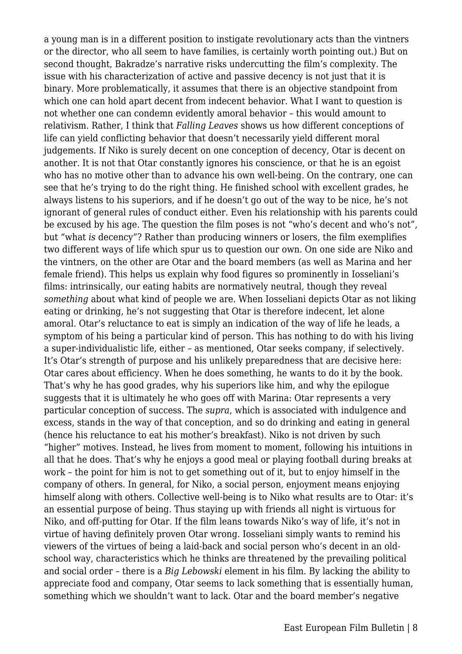a young man is in a different position to instigate revolutionary acts than the vintners or the director, who all seem to have families, is certainly worth pointing out.) But on second thought, Bakradze's narrative risks undercutting the film's complexity. The issue with his characterization of active and passive decency is not just that it is binary. More problematically, it assumes that there is an objective standpoint from which one can hold apart decent from indecent behavior. What I want to question is not whether one can condemn evidently amoral behavior – this would amount to relativism. Rather, I think that *Falling Leaves* shows us how different conceptions of life can yield conflicting behavior that doesn't necessarily yield different moral judgements. If Niko is surely decent on one conception of decency, Otar is decent on another. It is not that Otar constantly ignores his conscience, or that he is an egoist who has no motive other than to advance his own well-being. On the contrary, one can see that he's trying to do the right thing. He finished school with excellent grades, he always listens to his superiors, and if he doesn't go out of the way to be nice, he's not ignorant of general rules of conduct either. Even his relationship with his parents could be excused by his age. The question the film poses is not "who's decent and who's not", but "what *is* decency"? Rather than producing winners or losers, the film exemplifies two different ways of life which spur us to question our own. On one side are Niko and the vintners, on the other are Otar and the board members (as well as Marina and her female friend). This helps us explain why food figures so prominently in Iosseliani's films: intrinsically, our eating habits are normatively neutral, though they reveal *something* about what kind of people we are. When Iosseliani depicts Otar as not liking eating or drinking, he's not suggesting that Otar is therefore indecent, let alone amoral. Otar's reluctance to eat is simply an indication of the way of life he leads, a symptom of his being a particular kind of person. This has nothing to do with his living a super-individualistic life, either – as mentioned, Otar seeks company, if selectively. It's Otar's strength of purpose and his unlikely preparedness that are decisive here: Otar cares about efficiency. When he does something, he wants to do it by the book. That's why he has good grades, why his superiors like him, and why the epilogue suggests that it is ultimately he who goes off with Marina: Otar represents a very particular conception of success. The *supra*, which is associated with indulgence and excess, stands in the way of that conception, and so do drinking and eating in general (hence his reluctance to eat his mother's breakfast). Niko is not driven by such "higher" motives. Instead, he lives from moment to moment, following his intuitions in all that he does. That's why he enjoys a good meal or playing football during breaks at work – the point for him is not to get something out of it, but to enjoy himself in the company of others. In general, for Niko, a social person, enjoyment means enjoying himself along with others. Collective well-being is to Niko what results are to Otar: it's an essential purpose of being. Thus staying up with friends all night is virtuous for Niko, and off-putting for Otar. If the film leans towards Niko's way of life, it's not in virtue of having definitely proven Otar wrong. Iosseliani simply wants to remind his viewers of the virtues of being a laid-back and social person who's decent in an oldschool way, characteristics which he thinks are threatened by the prevailing political and social order – there is a *Big Lebowski* element in his film. By lacking the ability to appreciate food and company, Otar seems to lack something that is essentially human, something which we shouldn't want to lack. Otar and the board member's negative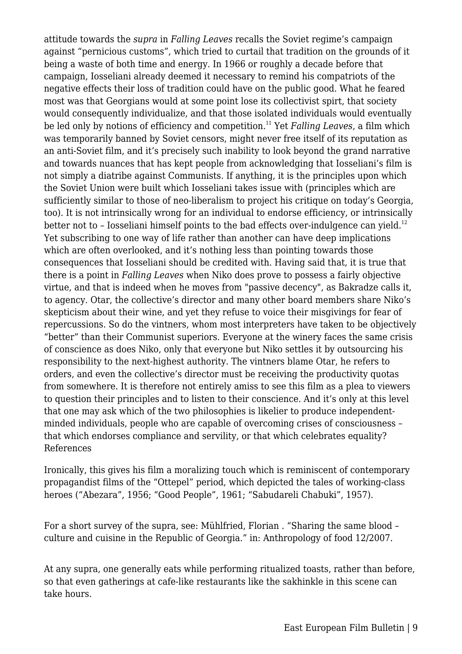attitude towards the *supra* in *Falling Leaves* recalls the Soviet regime's campaign against "pernicious customs", which tried to curtail that tradition on the grounds of it being a waste of both time and energy. In 1966 or roughly a decade before that campaign, Iosseliani already deemed it necessary to remind his compatriots of the negative effects their loss of tradition could have on the public good. What he feared most was that Georgians would at some point lose its collectivist spirt, that society would consequently individualize, and that those isolated individuals would eventually be led only by notions of efficiency and competition.<sup>11</sup> Yet *Falling Leaves*, a film which was temporarily banned by Soviet censors, might never free itself of its reputation as an anti-Soviet film, and it's precisely such inability to look beyond the grand narrative and towards nuances that has kept people from acknowledging that Iosseliani's film is not simply a diatribe against Communists. If anything, it is the principles upon which the Soviet Union were built which Iosseliani takes issue with (principles which are sufficiently similar to those of neo-liberalism to project his critique on today's Georgia, too). It is not intrinsically wrong for an individual to endorse efficiency, or intrinsically better not to - Iosseliani himself points to the bad effects over-indulgence can vield.<sup>12</sup> Yet subscribing to one way of life rather than another can have deep implications which are often overlooked, and it's nothing less than pointing towards those consequences that Iosseliani should be credited with. Having said that, it is true that there is a point in *Falling Leaves* when Niko does prove to possess a fairly objective virtue, and that is indeed when he moves from "passive decency", as Bakradze calls it, to agency. Otar, the collective's director and many other board members share Niko's skepticism about their wine, and yet they refuse to voice their misgivings for fear of repercussions. So do the vintners, whom most interpreters have taken to be objectively "better" than their Communist superiors. Everyone at the winery faces the same crisis of conscience as does Niko, only that everyone but Niko settles it by outsourcing his responsibility to the next-highest authority. The vintners blame Otar, he refers to orders, and even the collective's director must be receiving the productivity quotas from somewhere. It is therefore not entirely amiss to see this film as a plea to viewers to question their principles and to listen to their conscience. And it's only at this level that one may ask which of the two philosophies is likelier to produce independentminded individuals, people who are capable of overcoming crises of consciousness – that which endorses compliance and servility, or that which celebrates equality? References

Ironically, this gives his film a moralizing touch which is reminiscent of contemporary propagandist films of the "Ottepel" period, which depicted the tales of working-class heroes ("Abezara", 1956; "Good People", 1961; "Sabudareli Chabuki", 1957).

For a short survey of the supra, see: Mühlfried, Florian . "Sharing the same blood – culture and cuisine in the Republic of Georgia." in: Anthropology of food 12/2007.

At any supra, one generally eats while performing ritualized toasts, rather than before, so that even gatherings at cafe-like restaurants like the sakhinkle in this scene can take hours.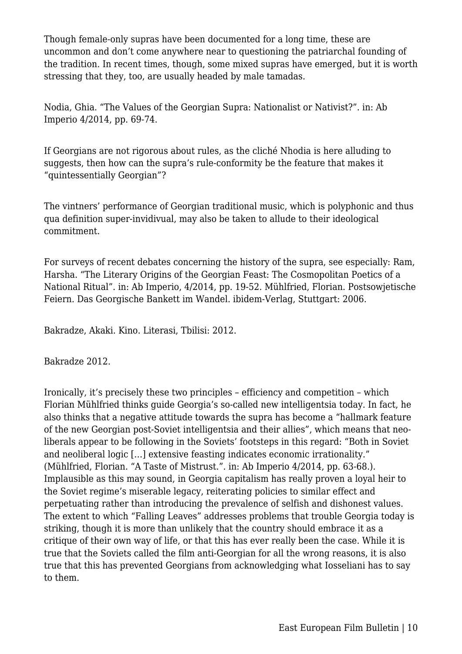Though female-only supras have been documented for a long time, these are uncommon and don't come anywhere near to questioning the patriarchal founding of the tradition. In recent times, though, some mixed supras have emerged, but it is worth stressing that they, too, are usually headed by male tamadas.

Nodia, Ghia. "The Values of the Georgian Supra: Nationalist or Nativist?". in: Ab Imperio 4/2014, pp. 69-74.

If Georgians are not rigorous about rules, as the cliché Nhodia is here alluding to suggests, then how can the supra's rule-conformity be the feature that makes it "quintessentially Georgian"?

The vintners' performance of Georgian traditional music, which is polyphonic and thus qua definition super-invidivual, may also be taken to allude to their ideological commitment.

For surveys of recent debates concerning the history of the supra, see especially: Ram, Harsha. "The Literary Origins of the Georgian Feast: The Cosmopolitan Poetics of a National Ritual". in: Ab Imperio, 4/2014, pp. 19-52. Mühlfried, Florian. Postsowjetische Feiern. Das Georgische Bankett im Wandel. ibidem-Verlag, Stuttgart: 2006.

Bakradze, Akaki. Kino. Literasi, Tbilisi: 2012.

Bakradze 2012.

Ironically, it's precisely these two principles – efficiency and competition – which Florian Mühlfried thinks guide Georgia's so-called new intelligentsia today. In fact, he also thinks that a negative attitude towards the supra has become a "hallmark feature of the new Georgian post-Soviet intelligentsia and their allies", which means that neoliberals appear to be following in the Soviets' footsteps in this regard: "Both in Soviet and neoliberal logic […] extensive feasting indicates economic irrationality." (Mühlfried, Florian. "A Taste of Mistrust.". in: Ab Imperio 4/2014, pp. 63-68.). Implausible as this may sound, in Georgia capitalism has really proven a loyal heir to the Soviet regime's miserable legacy, reiterating policies to similar effect and perpetuating rather than introducing the prevalence of selfish and dishonest values. The extent to which "Falling Leaves" addresses problems that trouble Georgia today is striking, though it is more than unlikely that the country should embrace it as a critique of their own way of life, or that this has ever really been the case. While it is true that the Soviets called the film anti-Georgian for all the wrong reasons, it is also true that this has prevented Georgians from acknowledging what Iosseliani has to say to them.